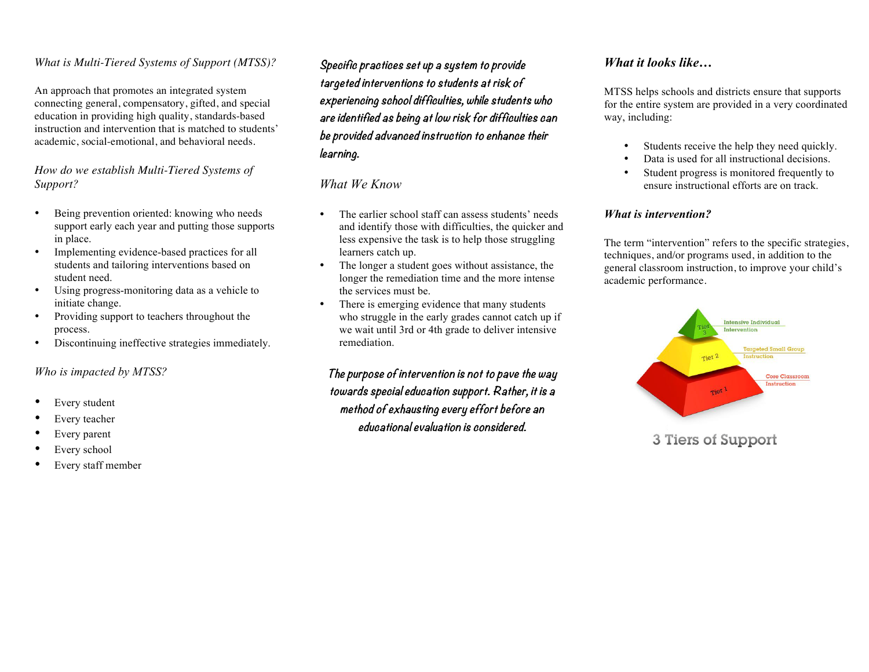## *What is Multi-Tiered Systems of Support (MTSS)?*

An approach that promotes an integrated system connecting general, compensatory, gifted, and special education in providing high quality, standards-based instruction and intervention that is matched to students' academic, social-emotional, and behavioral needs.

## *How do we establish Multi-Tiered Systems of Support?*

- Being prevention oriented: knowing who needs support early each year and putting those supports in place.
- Implementing evidence-based practices for all students and tailoring interventions based on student need.
- Using progress-monitoring data as a vehicle to initiate change.
- Providing support to teachers throughout the process.
- Discontinuing ineffective strategies immediately.

## *Who is impacted by MTSS?*

- Every student
- Every teacher
- Every parent
- Every school
- Every staff member

**Specific practices set up a system to provide targeted interventions to students at risk of experiencing school difficulties, while students who are identified as being at low risk for difficulties can be provided advanced instruction to enhance their learning.**

## *What We Know*

- The earlier school staff can assess students' needs and identify those with difficulties, the quicker and less expensive the task is to help those struggling learners catch up.
- The longer a student goes without assistance, the longer the remediation time and the more intense the services must be.
- There is emerging evidence that many students who struggle in the early grades cannot catch up if we wait until 3rd or 4th grade to deliver intensive remediation.

**The purpose of intervention is not to pave the way towards special education support. Rather, it is <sup>a</sup> method of exhausting every effort before an educational evaluation is considered.**

# *What it looks like…*

MTSS helps schools and districts ensure that supports for the entire system are provided in a very coordinated way, including:

- Students receive the help they need quickly.
- Data is used for all instructional decisions.
- Student progress is monitored frequently to ensure instructional efforts are on track.

## *What is intervention?*

The term "intervention" refers to the specific strategies, techniques, and/or programs used, in addition to the general classroom instruction, to improve your child's academic performance.



3 Tiers of Support